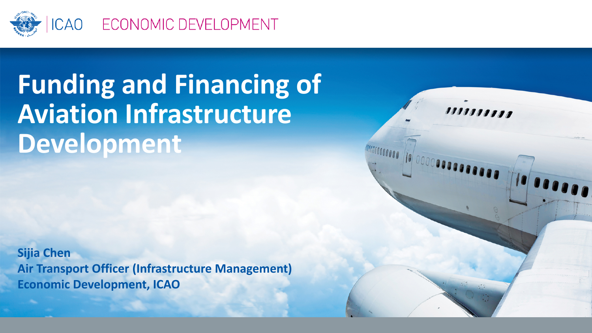

## **Funding and Financing of Aviation Infrastructure Development**

**Sijia Chen Air Transport Officer (Infrastructure Management) Economic Development, ICAO** 

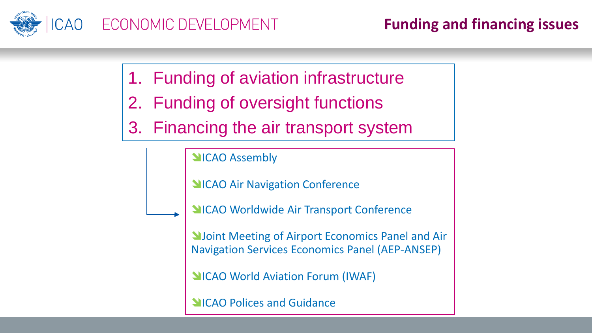

- 1. Funding of aviation infrastructure
- 2. Funding of oversight functions
- 3. Financing the air transport system

**NICAO Assembly** 

**NICAO Air Navigation Conference** 

**NICAO Worldwide Air Transport Conference** 

**N**Joint Meeting of Airport Economics Panel and Air Navigation Services Economics Panel (AEP-ANSEP)

**NICAO World Aviation Forum (IWAF)** 

**NICAO Polices and Guidance**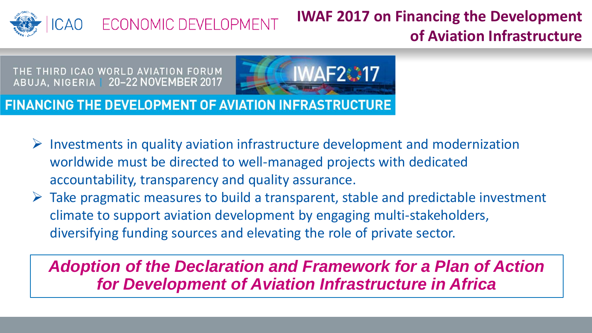

## **IWAF 2017 on Financing the Development of Aviation Infrastructure**

THE THIRD ICAO WORLD AVIATION FORUM ABUJA, NIGERIA | 20-22 NOVEMBER 2017



**FINANCING THE DEVELOPMENT OF AVIATION INFRASTRUCTURE** 

- $\triangleright$  Investments in quality aviation infrastructure development and modernization worldwide must be directed to well-managed projects with dedicated accountability, transparency and quality assurance.
- $\triangleright$  Take pragmatic measures to build a transparent, stable and predictable investment climate to support aviation development by engaging multi-stakeholders, diversifying funding sources and elevating the role of private sector.

*Adoption of the Declaration and Framework for a Plan of Action for Development of Aviation Infrastructure in Africa*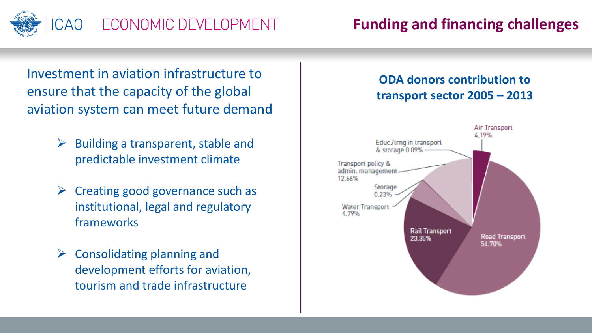

## ECONOMIC DEVELOPMENT

Investment in aviation infrastructure to ensure that the capacity of the global aviation system can meet future demand

- $\triangleright$  Building a transparent, stable and predictable investment climate
- $\triangleright$  Creating good governance such as institutional, legal and regulatory frameworks
- $\triangleright$  Consolidating planning and development efforts for aviation, tourism and trade infrastructure

## **ODA donors contribution to transport sector 2005 – 2013**